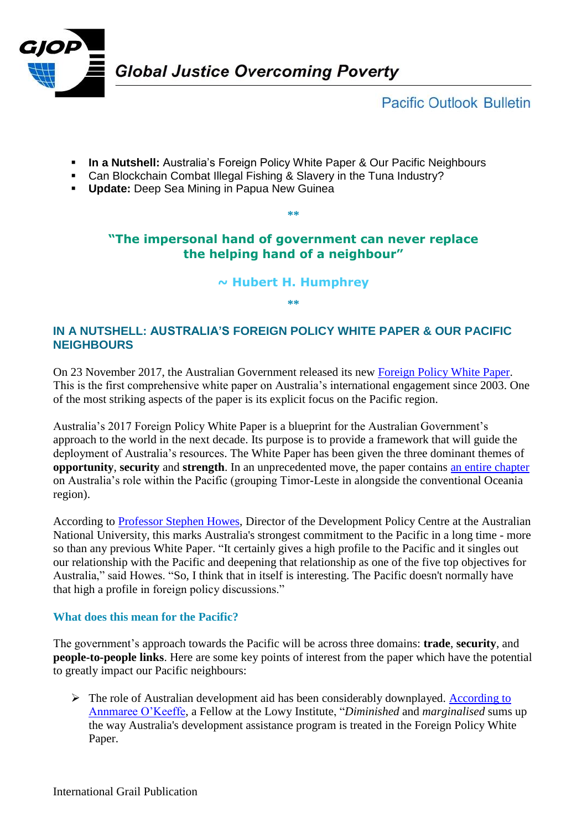

# **Pacific Outlook Bulletin**

- **In a Nutshell:** Australia's Foreign Policy White Paper & Our Pacific Neighbours
- Can Blockchain Combat Illegal Fishing & Slavery in the Tuna Industry?
- **Update:** Deep Sea Mining in Papua New Guinea

## **"The impersonal hand of government can never replace the helping hand of a neighbour"**

**\*\***

#### **~ Hubert H. Humphrey**

**\*\***

### **IN A NUTSHELL: AUSTRALIA'S FOREIGN POLICY WHITE PAPER & OUR PACIFIC NEIGHBOURS**

On 23 November 2017, the Australian Government released its new [Foreign Policy White Paper.](https://www.fpwhitepaper.gov.au/) This is the first comprehensive white paper on Australia's international engagement since 2003. One of the most striking aspects of the paper is its explicit focus on the Pacific region.

Australia's 2017 Foreign Policy White Paper is a blueprint for the Australian Government's approach to the world in the next decade. Its purpose is to provide a framework that will guide the deployment of Australia's resources. The White Paper has been given the three dominant themes of **opportunity**, **security** and **strength**. In an unprecedented move, the paper contains [an entire chapter](https://www.fpwhitepaper.gov.au/foreign-policy-white-paper/chapter-seven-shared-agenda-security-and-prosperity) on Australia's role within the Pacific (grouping Timor-Leste in alongside the conventional Oceania region).

According to [Professor Stephen Howes,](https://crawford.anu.edu.au/people/academic/stephen-howes) Director of the Development Policy Centre at the Australian National University, this marks Australia's strongest commitment to the Pacific in a long time - more so than any previous White Paper. "It certainly gives a high profile to the Pacific and it singles out our relationship with the Pacific and deepening that relationship as one of the five top objectives for Australia," said Howes. "So, I think that in itself is interesting. The Pacific doesn't normally have that high a profile in foreign policy discussions."

#### **What does this mean for the Pacific?**

The government's approach towards the Pacific will be across three domains: **trade**, **security**, and **people-to-people links**. Here are some key points of interest from the paper which have the potential to greatly impact our Pacific neighbours:

 $\triangleright$  The role of Australian development aid has been considerably downplayed. According to [Annmaree O'Keeffe,](https://www.lowyinstitute.org/the-interpreter/fall-and-fall-australia-s-aid-program) a Fellow at the Lowy Institute, "*Diminished* and *marginalised* sums up the way Australia's development assistance program is treated in the Foreign Policy White Paper.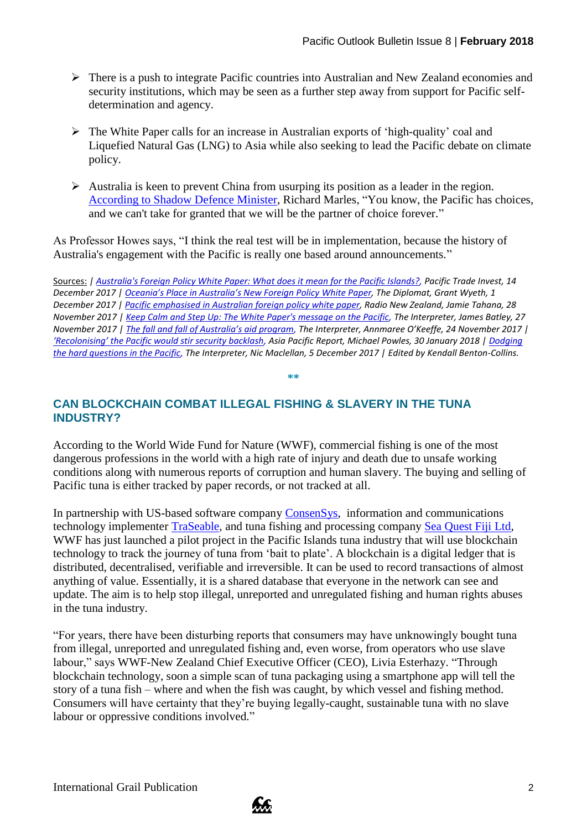- There is a push to integrate Pacific countries into Australian and New Zealand economies and security institutions, which may be seen as a further step away from support for Pacific selfdetermination and agency.
- $\triangleright$  The White Paper calls for an increase in Australian exports of 'high-quality' coal and Liquefied Natural Gas (LNG) to Asia while also seeking to lead the Pacific debate on climate policy.
- $\triangleright$  Australia is keen to prevent China from usurping its position as a leader in the region. [According to Shadow Defence Minister,](https://www.radionz.co.nz/international/programmes/datelinepacific/audio/2018623242/pacific-emphasised-in-australian-foreign-policy-white-paper) Richard Marles, "You know, the Pacific has choices, and we can't take for granted that we will be the partner of choice forever."

As Professor Howes says, "I think the real test will be in implementation, because the history of Australia's engagement with the Pacific is really one based around announcements."

Sources: *| [Australia's Foreign Policy White Paper: What does it mean for the Pacific Islands?,](https://pacifictradeinvest.com/resources/pacific-insights/posts/2017/december/australia-s-foreign-policy-white-paper-what-does-it-mean-for-the-pacific-islands/?_cldee=cmVzZWFyY2hAcGFuZy5vcmcuZmo%3d&recipientid=contact-f15064ba21f1e311b185001ec9ef334c-1d5a6ddcd1f6489eb8f8bb6fcc5268c1&esid=05935eee-48e0-e711-8144-70106fa12a71) Pacific Trade Invest, 14 December 2017 | [Oceania's Place in Australia's New Foreign Policy](https://thediplomat.com/2017/12/oceanias-place-in-australias-new-foreign-policy-white-paper/) White Paper, The Diplomat, Grant Wyeth, 1 December 2017 | [Pacific emphasised in Australian foreign policy white paper,](https://www.radionz.co.nz/international/programmes/datelinepacific/audio/2018623242/pacific-emphasised-in-australian-foreign-policy-white-paper) Radio New Zealand, Jamie Tahana, 28 November 2017 [| Keep Calm and Step Up: The White Paper's message on the Pacific,](https://www.lowyinstitute.org/the-interpreter/keep-calm-and-step-white-paper-message-pacific) The Interpreter, James Batley, 27 November 2017 | [The fall and fall of Australia's aid program](https://www.lowyinstitute.org/the-interpreter/fall-and-fall-australia-s-aid-program), The Interpreter, Annmaree O'Keeffe, 24 November 2017 | ['Recolonising' the Pacific would stir security backlash](https://asiapacificreport.nz/2018/01/30/michael-powles-recolonising-the-pacific-would-stir-security-backlash/), Asia Pacific Report, Michael Powles, 30 January 2018 | [Dodging](https://www.lowyinstitute.org/the-interpreter/dodging-hard-questions-pacific)  [the hard questions in the Pacific,](https://www.lowyinstitute.org/the-interpreter/dodging-hard-questions-pacific) The Interpreter, Nic Maclellan, 5 December 2017 | Edited by Kendall Benton-Collins.*

**\*\***

### **CAN BLOCKCHAIN COMBAT ILLEGAL FISHING & SLAVERY IN THE TUNA INDUSTRY?**

According to the World Wide Fund for Nature (WWF), commercial fishing is one of the most dangerous professions in the world with a high rate of injury and death due to unsafe working conditions along with numerous reports of corruption and human slavery. The buying and selling of Pacific tuna is either tracked by paper records, or not tracked at all.

In partnership with US-based software company [ConsenSys,](https://consensys.net/) information and communications technology implementer [TraSeable,](https://traseable.com/) and tuna fishing and processing company Sea [Quest Fiji Ltd,](https://www.youtube.com/watch?v=8orivCxcH6E) WWF has just launched a pilot project in the Pacific Islands tuna industry that will use blockchain technology to track the journey of tuna from 'bait to plate'. A blockchain is a digital ledger that is distributed, decentralised, verifiable and irreversible. It can be used to record transactions of almost anything of value. Essentially, it is a shared database that everyone in the network can see and update. The aim is to help stop illegal, unreported and unregulated fishing and human rights abuses in the tuna industry.

"For years, there have been disturbing reports that consumers may have unknowingly bought tuna from illegal, unreported and unregulated fishing and, even worse, from operators who use slave labour," says WWF-New Zealand Chief Executive Officer (CEO), Livia Esterhazy. "Through blockchain technology, soon a simple scan of tuna packaging using a smartphone app will tell the story of a tuna fish – where and when the fish was caught, by which vessel and fishing method. Consumers will have certainty that they're buying legally-caught, sustainable tuna with no slave labour or oppressive conditions involved."

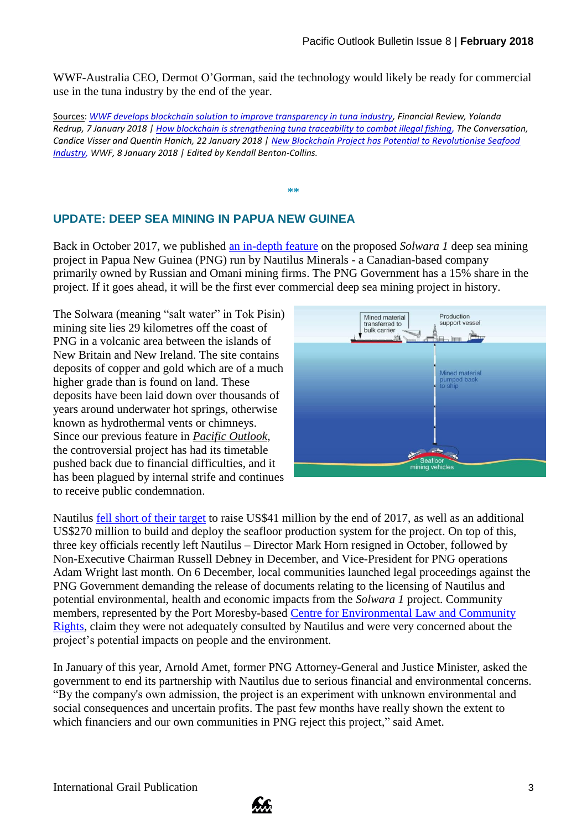WWF-Australia CEO, Dermot O'Gorman, said the technology would likely be ready for commercial use in the tuna industry by the end of the year.

Sources: *[WWF develops blockchain solution to improve transparency in tuna industry,](http://www.afr.com/technology/wwf-develops-blockchain-solution-to-improve-transparency-in-tuna-industry-20180106-h0ejtb) Financial Review, Yolanda Redrup, 7 January 2018 | [How blockchain is strengthening tuna traceability to combat illegal fishing,](https://theconversation.com/how-blockchain-is-strengthening-tuna-traceability-to-combat-illegal-fishing-89965) The Conversation, Candice Visser and Quentin Hanich, 22 January 2018 | [New Blockchain Project has Potential to Revolutionise Seafood](http://wwf.panda.org/about_our_earth/deforestation/deforestation_fronts/deforestation_in_new_guinea/?320232/New-Blockchain-Project-has-Potential-to-Revolutionise-Seafood-Industry)  [Industry,](http://wwf.panda.org/about_our_earth/deforestation/deforestation_fronts/deforestation_in_new_guinea/?320232/New-Blockchain-Project-has-Potential-to-Revolutionise-Seafood-Industry) WWF, 8 January 2018 | Edited by Kendall Benton-Collins.*

**\*\***

## **UPDATE: DEEP SEA MINING IN PAPUA NEW GUINEA**

Back in October 2017, we published [an in-depth feature](http://www.grailaustralia.org.au/wp-content/uploads/2017/11/GJOP-Pacific-Outlook-Issue-6.pdf) on the proposed *Solwara 1* deep sea mining project in Papua New Guinea (PNG) run by Nautilus Minerals - a Canadian-based company primarily owned by Russian and Omani mining firms. The PNG Government has a 15% share in the project. If it goes ahead, it will be the first ever commercial deep sea mining project in history.

The Solwara (meaning "salt water" in Tok Pisin) mining site lies 29 kilometres off the coast of PNG in a volcanic area between the islands of New Britain and New Ireland. The site contains deposits of copper and gold which are of a much higher grade than is found on land. These deposits have been laid down over thousands of years around underwater hot springs, otherwise known as hydrothermal vents or chimneys. Since our previous feature in *[Pacific Outlook](http://www.grailaustralia.org.au/wp-content/uploads/2017/11/GJOP-Pacific-Outlook-Issue-6.pdf)*, the controversial project has had its timetable pushed back due to financial difficulties, and it has been plagued by internal strife and continues to receive public condemnation.



Nautilus [fell short of their target](https://www.scidev.net/asia-pacific/environment/news/developer-says-png-sea-mining-project-to-push-through.html) to raise US\$41 million by the end of 2017, as well as an additional US\$270 million to build and deploy the seafloor production system for the project. On top of this, three key officials recently left Nautilus – Director Mark Horn resigned in October, followed by Non-Executive Chairman Russell Debney in December, and Vice-President for PNG operations Adam Wright last month. On 6 December, local communities launched legal proceedings against the PNG Government demanding the release of documents relating to the licensing of Nautilus and potential environmental, health and economic impacts from the *Solwara 1* project. Community members, represented by the Port Moresby-based [Centre for Environmental Law and Community](https://centerforenvironmentallawandcommunityrights.wordpress.com/)  [Rights,](https://centerforenvironmentallawandcommunityrights.wordpress.com/) claim they were not adequately consulted by Nautilus and were very concerned about the project's potential impacts on people and the environment.

In January of this year, Arnold Amet, former PNG Attorney-General and Justice Minister, asked the government to end its partnership with Nautilus due to serious financial and environmental concerns. "By the company's own admission, the project is an experiment with unknown environmental and social consequences and uncertain profits. The past few months have really shown the extent to which financiers and our own communities in PNG reject this project," said Amet.